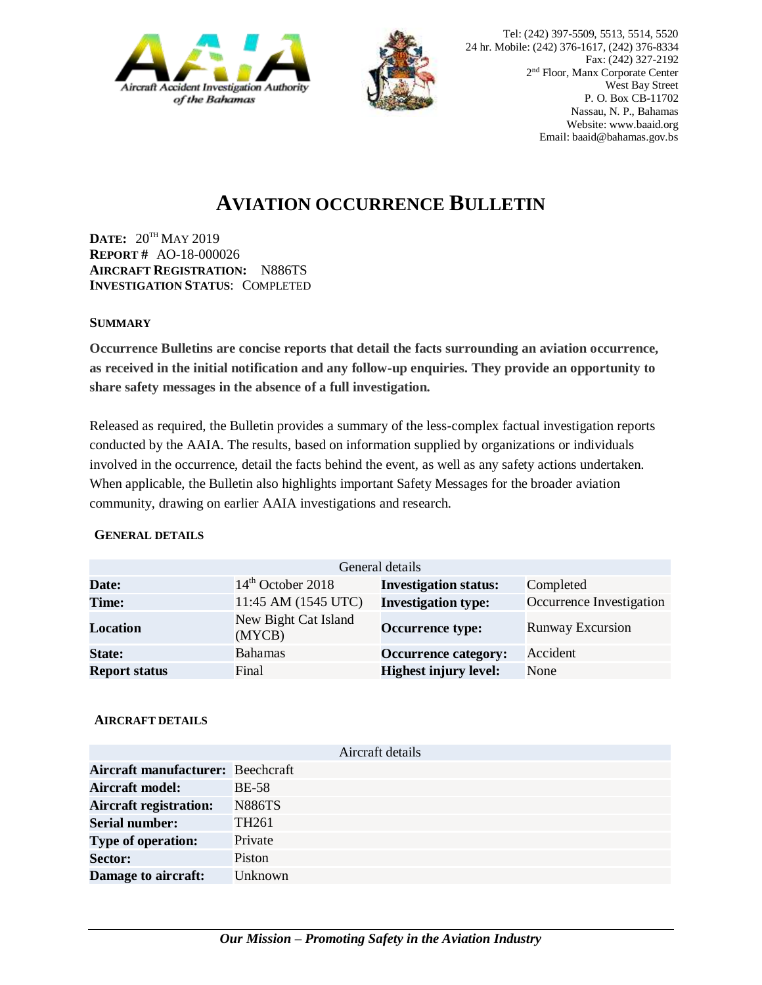



# **AVIATION OCCURRENCE BULLETIN**

**DATE:** 20TH MAY 2019 **REPORT #** AO-18-000026 **AIRCRAFT REGISTRATION:** N886TS **INVESTIGATION STATUS**: COMPLETED

### **SUMMARY**

**Occurrence Bulletins are concise reports that detail the facts surrounding an aviation occurrence, as received in the initial notification and any follow-up enquiries. They provide an opportunity to share safety messages in the absence of a full investigation***.*

Released as required, the Bulletin provides a summary of the less-complex factual investigation reports conducted by the AAIA. The results, based on information supplied by organizations or individuals involved in the occurrence, detail the facts behind the event, as well as any safety actions undertaken. When applicable, the Bulletin also highlights important Safety Messages for the broader aviation community, drawing on earlier AAIA investigations and research.

#### **GENERAL DETAILS**

| General details      |                                |                              |                          |
|----------------------|--------------------------------|------------------------------|--------------------------|
| Date:                | $14th$ October 2018            | <b>Investigation status:</b> | Completed                |
| Time:                | 11:45 AM (1545 UTC)            | <b>Investigation type:</b>   | Occurrence Investigation |
| <b>Location</b>      | New Bight Cat Island<br>(MYCB) | <b>Occurrence type:</b>      | <b>Runway Excursion</b>  |
| <b>State:</b>        | <b>Bahamas</b>                 | <b>Occurrence category:</b>  | Accident                 |
| <b>Report status</b> | Final                          | <b>Highest injury level:</b> | None                     |

## **AIRCRAFT DETAILS**

|                                   | Aircraft details  |
|-----------------------------------|-------------------|
| Aircraft manufacturer: Beechcraft |                   |
| <b>Aircraft model:</b>            | <b>BE-58</b>      |
| <b>Aircraft registration:</b>     | <b>N886TS</b>     |
| <b>Serial number:</b>             | TH <sub>261</sub> |
| <b>Type of operation:</b>         | Private           |
| <b>Sector:</b>                    | Piston            |
| Damage to aircraft:               | Unknown           |